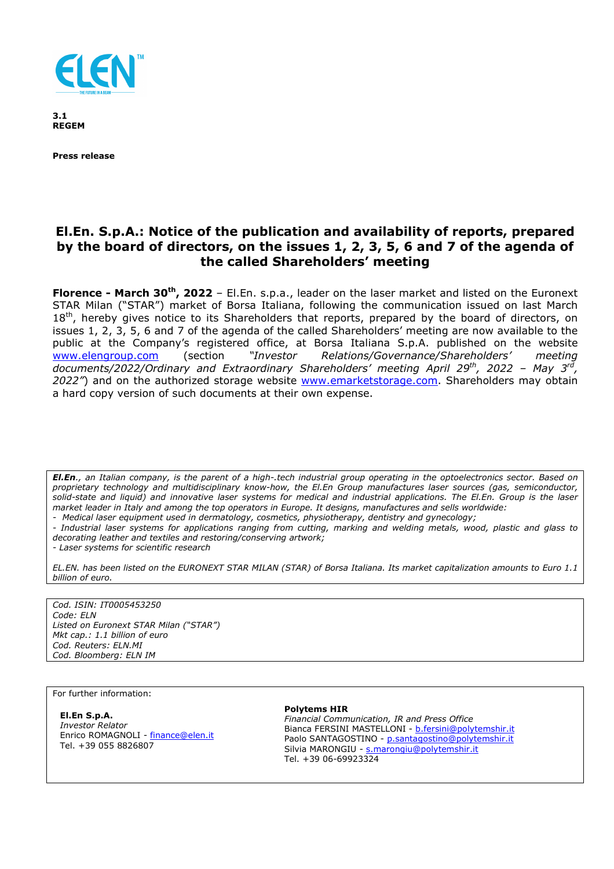

**3.1 REGEM**

**Press release** 

## **El.En. S.p.A.: Notice of the publication and availability of reports, prepared by the board of directors, on the issues 1, 2, 3, 5, 6 and 7 of the agenda of the called Shareholders' meeting**

**Florence - March 30th, 2022** – El.En. s.p.a., leader on the laser market and listed on the Euronext STAR Milan ("STAR") market of Borsa Italiana, following the communication issued on last March  $18<sup>th</sup>$ , hereby gives notice to its Shareholders that reports, prepared by the board of directors, on issues 1, 2, 3, 5, 6 and 7 of the agenda of the called Shareholders' meeting are now available to the public at the Company's registered office, at Borsa Italiana S.p.A. published on the website www.elengroup.com (section *"Investor Relations/Governance/Shareholders' meeting documents/2022/Ordinary and Extraordinary Shareholders' meeting April 29th, 2022 – May 3rd , 2022"*) and on the authorized storage website www.emarketstorage.com. Shareholders may obtain a hard copy version of such documents at their own expense.

*El.En., an Italian company, is the parent of a high-.tech industrial group operating in the optoelectronics sector. Based on proprietary technology and multidisciplinary know-how, the El.En Group manufactures laser sources (gas, semiconductor, solid-state and liquid) and innovative laser systems for medical and industrial applications. The El.En. Group is the laser market leader in Italy and among the top operators in Europe. It designs, manufactures and sells worldwide:* 

*- Medical laser equipment used in dermatology, cosmetics, physiotherapy, dentistry and gynecology;* 

*- Industrial laser systems for applications ranging from cutting, marking and welding metals, wood, plastic and glass to decorating leather and textiles and restoring/conserving artwork;* 

*- Laser systems for scientific research* 

*EL.EN. has been listed on the EURONEXT STAR MILAN (STAR) of Borsa Italiana. Its market capitalization amounts to Euro 1.1 billion of euro.* 

*Cod. ISIN: IT0005453250 Code: ELN Listed on Euronext STAR Milan ("STAR") Mkt cap.: 1.1 billion of euro Cod. Reuters: ELN.MI Cod. Bloomberg: ELN IM* 

For further information:

**El.En S.p.A.**  *Investor Relator*  Enrico ROMAGNOLI - finance@elen.it Tel. +39 055 8826807

## **Polytems HIR**

*Financial Communication, IR and Press Office*  Bianca FERSINI MASTELLONI - b.fersini@polytemshir.it Paolo SANTAGOSTINO - p.santagostino@polytemshir.it Silvia MARONGIU - s.marongiu@polytemshir.it Tel. +39 06-69923324